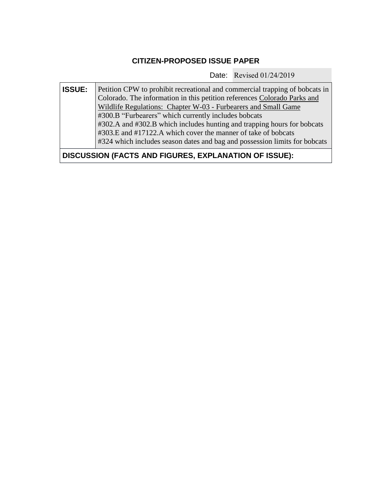## **CITIZEN-PROPOSED ISSUE PAPER**

Date: Revised 01/24/2019

**ISSUE:** Petition CPW to prohibit recreational and commercial trapping of bobcats in Colorado. The information in this petition references [Colorado](http://cpw.state.co.us/Documents/RulesRegs/Regulations/Ch03.pdf) Parks and Wildlife [Regulations: Chapter](http://cpw.state.co.us/Documents/RulesRegs/Regulations/Ch03.pdf) W-03 - Furbearers and Small Game #300.B "Furbearers" which currently includes bobcats #302.A and #302.B which includes hunting and trapping hours for bobcats #303.E and #17122.A which cover the manner of take of bobcats #324 which includes season dates and bag and possession limits for bobcats

**DISCUSSION (FACTS AND FIGURES, EXPLANATION OF ISSUE):**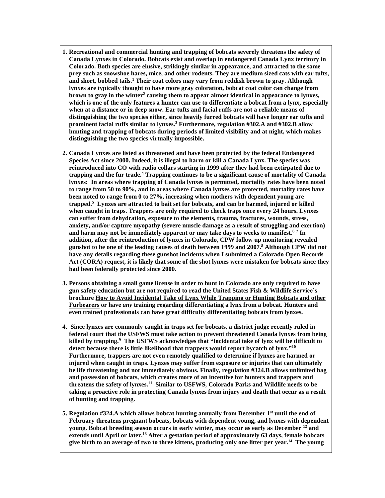- **1. Recreational and commercial hunting and trapping of bobcats severely threatens the safety of Canada Lynxes in Colorado. Bobcats exist and overlap in endangered Canada Lynx territory in Colorado. Both species are elusive, strikingly similar in appearance, and attracted to the same prey such as snowshoe hares, mice, and other rodents. They are medium sized cats with ear tufts, and short, bobbed tails.<sup>1</sup> Their coat colors may vary from reddish brown to gray. Although lynxes are typically thought to have more gray coloration, bobcat coat color can change from brown to gray in the winter<sup>2</sup> causing them to appear almost identical in appearance to lynxes,** which is one of the only features a hunter can use to differentiate a bobcat from a lynx, especially **when at a distance or in deep snow. Ear tufts and facial ruffs are not a reliable means of distinguishing the two species either, since heavily furred bobcats will have longer ear tufts and prominent facial ruffs similar to lynxes.<sup>3</sup> Furthermore, regulation #302.A and #302.B allow hunting and trapping of bobcats during periods of limited visibility and at night, which makes distinguishing the two species virtually impossible.**
- **2. Canada Lynxes are listed as threatened and have been protected by the federal Endangered Species Act since 2000. Indeed, it is illegal to harm or kill a Canada Lynx. The species was reintroduced into CO with radio collars starting in 1999 after they had been extirpated due to trapping and the fur trade. <sup>4</sup> Trapping continues to be a significant cause of mortality of Canada lynxes: In areas where trapping of Canada lynxes is permitted, mortality rates have been noted to range from 50 to 90%, and in areas where Canada lynxes are protected, mortality rates have been noted to range from 0 to 27%, increasing when mothers with dependent young are trapped. 5 Lynxes are attracted to bait set for bobcats, and can be harmed, injured or killed when caught in traps. Trappers are only required to check traps once every 24 hours. Lynxes can suffer from dehydration, exposure to the elements, trauma, fractures, wounds, stress, anxiety, and/or capture myopathy (severe muscle damage as a result of struggling and exertion) and harm may not be immediately apparent or may take days to weeks to manifest. 6 7 In addition, after the reintroduction of lynxes in Colorado, CPW follow up monitoring revealed** gunshot to be one of the leading causes of death between 1999 and 2007.8 Although CPW did not **have any details regarding these gunshot incidents when I submitted a Colorado Open Records Act (CORA) request, it is likely that some of the shot lynxes were mistaken for bobcats since they had been federally protected since 2000.**
- **3. Persons obtaining a small game license in order to hunt in Colorado are only required to have gun safety education but are not required to read the United States Fish & Wildlife Service's brochure How to Avoid [Incidental](http://cpw.state.co.us/Documents/Hunting/SmallGame/AvoidLynxTake.pdf) Take of Lynx While Trapping or Hunting Bobcats and other [Furbearers](http://cpw.state.co.us/Documents/Hunting/SmallGame/AvoidLynxTake.pdf) or have** *any* **training regarding differentiating a lynx from a bobcat. Hunters and even trained professionals can have great difficulty differentiating bobcats from lynxes.**
- **4. Since lynxes are commonly caught in traps set for bobcats, a district judge recently ruled in federal court that the USFWS must take action to prevent threatened Canada lynxes from being killed by trapping.<sup>9</sup> The USFWS acknowledges that "incidental take of lynx will be difficult to detect because there is little likelihood that trappers would report bycatch of lynx."<sup>10</sup> Furthermore, trappers are not even remotely qualified to determine if lynxes are harmed or injured when caught in traps. Lynxes may suffer from exposure or injuries that can ultimately be life threatening and not immediately obvious. Finally, regulation #324.B allows unlimited bag and possession of bobcats, which creates more of an incentive for hunters and trappers and threatens the safety of lynxes.<sup>11</sup> Similar to USFWS, Colorado Parks and Wildlife needs to be taking a proactive role in protecting Canada lynxes from injury and death that occur as a result of hunting and trapping.**
- **5. Regulation #324.A which allows bobcat hunting annually from December 1 st until the end of February threatens pregnant bobcats, bobcats with dependent young, and lynxes with dependent young. Bobcat breeding season occurs in early winter, may occur as early as December <sup>12</sup> and extends until April or later.<sup>13</sup> After a gestation period of approximately 63 days, female bobcats** give birth to an average of two to three kittens, producing only one litter per year.<sup>14</sup> The young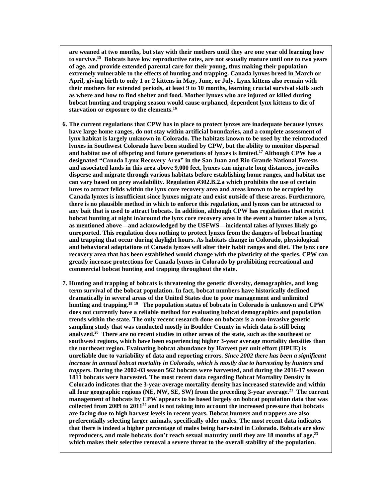**are weaned at two months, but stay with their mothers until they are one year old learning how to survive.<sup>15</sup> Bobcats have low reproductive rates, are not sexually mature until one to two years of age, and provide extended parental care for their young, thus making their population extremely vulnerable to the effects of hunting and trapping. Canada lynxes breed in March or** April, giving birth to only 1 or 2 kittens in May, June, or July. Lynx kittens also remain with **their mothers for extended periods, at least 9 to 10 months, learning crucial survival skills such as where and how to find shelter and food. Mother lynxes who are injured or killed during bobcat hunting and trapping season would cause orphaned, dependent lynx kittens to die of starvation or exposure to the elements. 16**

- **6. The current regulations that CPW has in place to protect lynxes are inadequate because lynxes have large home ranges, do not stay within artificial boundaries, and a complete assessment of lynx habitat is largely unknown in Colorado. The habitats known to be used by the reintroduced lynxes in Southwest Colorado have been studied by CPW, but the ability to monitor dispersal and habitat use of offspring and future generations of lynxes is limited. <sup>17</sup> Although CPW has a designated "Canada Lynx Recovery Area" in the San Juan and Rio Grande National Forests and associated lands in this area above 9,000 feet, lynxes can migrate long distances, juveniles disperse and migrate through various habitats before establishing home ranges, and habitat use can vary based on prey availability. Regulation #302.B.2.a which prohibits the use of certain lures to attract felids within the lynx core recovery area and areas known to be occupied by Canada lynxes is insufficient since lynxes migrate and exist outside of these areas. Furthermore, there is no plausible method in which to enforce this regulation, and lynxes can be attracted to any bait that is used to attract bobcats. In addition, although CPW has regulations that restrict bobcat hunting at night in/around the lynx core recovery area in the event a hunter takes a lynx, as mentioned above—and acknowledged by the USFWS—incidental takes of lynxes likely go unreported. This regulation does nothing to protect lynxes from the dangers of bobcat hunting and trapping that occur during daylight hours. As habitats change in Colorado, physiological and behavioral adaptations of Canada lynxes will alter their habit ranges and diet. The lynx core recovery area that has been established would change with the plasticity of the species. CPW can greatly increase protections for Canada lynxes in Colorado by prohibiting recreational and commercial bobcat hunting and trapping throughout the state.**
- **7. Hunting and trapping of bobcats is threatening the genetic diversity, demographics, and long term survival of the bobcat population. In fact, bobcat numbers have historically declined dramatically in several areas of the United States due to poor management and unlimited hunting and trapping.<sup>18</sup> <sup>19</sup> The population status of bobcats in Colorado is unknown and CPW does not currently have a reliable method for evaluating bobcat demographics and population trends within the state. The only recent research done on bobcats is a non-invasive genetic sampling study that was conducted mostly in Boulder County in which data is still being analyzed. 20 There are no recent studies in other areas of the state, such as the southeast or southwest regions, which have been experiencing higher 3-year average mortality densities than the northeast region. Evaluating bobcat abundance by Harvest per unit effort (HPUE) is unreliable due to variability of data and reporting errors.** *Since 2002 there has been a significant increase in annual bobcat mortality in Colorado, which is mostly due to harvesting by hunters and trappers.* **During the 2002-03 season 562 bobcats were harvested, and during the 2016-17 season 1811 bobcats were harvested. The most recent data regarding Bobcat Mortality Density in Colorado indicates that the 3-year average mortality density has increased statewide and within all four geographic regions (NE, NW, SE, SW) from the preceding 3-year average. <sup>21</sup> The current management of bobcats by CPW appears to be based largely on bobcat population data that was collected from 2009 to 2011<sup>22</sup> and is not taking into account the increased pressure that bobcats are facing due to high harvest levels in recent years. Bobcat hunters and trappers are also preferentially selecting larger animals, specifically older males. The most recent data indicates that there is indeed a higher percentage of males being harvested in Colorado. Bobcats are slow reproducers, and male bobcats don't reach sexual maturity until they are 18 months of age, 23 which makes their selective removal a severe threat to the overall stability of the population.**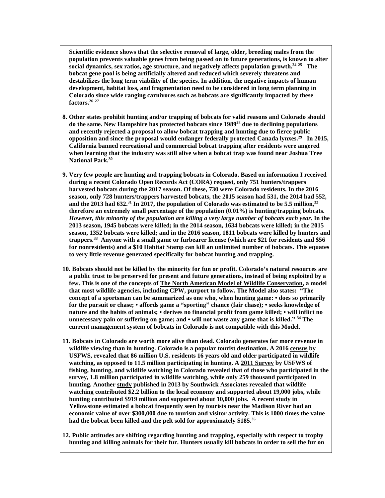**Scientific evidence shows that the selective removal of large, older, breeding males from the population prevents valuable genes from being passed on to future generations, is known to alter social dynamics, sex ratios, age structure, and negatively affects population growth. 24 25 The bobcat gene pool is being artificially altered and reduced which severely threatens and destabilizes the long term viability of the species. In addition, the negative impacts of human development, habitat loss, and fragmentation need to be considered in long term planning in Colorado since wide ranging carnivores such as bobcats are significantly impacted by these factors.<sup>26</sup> <sup>27</sup>** 

- **8. Other states prohibit hunting and/or trapping of bobcats for valid reasons and Colorado should do the same. New Hampshire has protected bobcats since 1989<sup>28</sup> due to declining populations and recently rejected a proposal to allow bobcat trapping and hunting due to fierce public opposition and since the proposal would endanger federally protected Canada lynxes.<sup>29</sup> In 2015, California banned recreational and commercial bobcat trapping after residents were angered when learning that the industry was still alive when a bobcat trap was found near Joshua Tree National Park.<sup>30</sup>**
- **9. Very few people are hunting and trapping bobcats in Colorado. Based on information I received during a recent Colorado Open Records Act (CORA) request, only 751 hunters/trappers harvested bobcats during the 2017 season. Of these, 730 were Colorado residents. In the 2016 season, only 728 hunters/trappers harvested bobcats, the 2015 season had 531, the 2014 had 552,** and the 2013 had 632.<sup>31</sup> In 2017, the population of Colorado was estimated to be 5.5 million,<sup>32</sup> **therefore an extremely small percentage of the population (0.01%) is hunting/trapping bobcats.** However, this minority of the population are killing a very large number of bobcats each year. In the **2013 season, 1945 bobcats were killed; in the 2014 season, 1634 bobcats were killed; in the 2015 season, 1352 bobcats were killed; and in the 2016 season, 1811 bobcats were killed by hunters and trappers.<sup>33</sup> Anyone with a small game or furbearer license (which are \$21 for residents and \$56 for nonresidents) and a \$10 Habitat Stamp can kill an unlimited number of bobcats. This equates to very little revenue generated specifically for bobcat hunting and trapping.**
- **10. Bobcats should not be killed by the minority for fun or profit. Colorado's natural resources are a public trust to be preserved for present and future generations, instead of being exploited by a few. This is one of the concepts of The North American Model of Wildlife [Conservation,](http://wildlife.org/wp-content/uploads/2014/05/North-American-model-of-Wildlife-Conservation.pdf) a model that most wildlife agencies, including CPW, purport to follow. The Model also states: "The concept of a sportsman can be summarized as one who, when hunting game: • does so primarily for the pursuit or chase; • affords game a "sporting" chance (fair chase); • seeks knowledge of** nature and the habits of animals; • derives no financial profit from game killed; • will inflict no **unnecessary pain or suffering on game; and • will not waste any game that is killed." <sup>34</sup> The current management system of bobcats in Colorado is not compatible with this Model.**
- **11. Bobcats in Colorado are worth more alive than dead. Colorado generates far more revenue in wildlife viewing than in hunting. Colorado is a popular tourist destination. A 2016 [census](https://na01.safelinks.protection.outlook.com/?url=https%3A%2F%2Fwww.census.gov%2Fcontent%2Fdam%2FCensus%2Flibrary%2Fvisualizations%2F2016%2Fdemo%2Ffhw16-qkfact.pdf&data=02%7C01%7Cchristinec%40petaf.org%7Cb87e595fc2e342c8242008d64f2b1725%7C5d45cdd8bf9f4103bb0232882b77d3c2%7C0%7C0%7C636783443829950281&sdata=LNcpERIdPXAykOn9CdBOp79e3AEYY9t%2BYJZWyscexsM%3D&reserved=0) by USFWS, revealed that 86 million U.S. residents 16 years old and older participated in wildlife watching, as opposed to 11.5 million participating in hunting. A 2011 [Survey](https://na01.safelinks.protection.outlook.com/?url=https%3A%2F%2Fwww.census.gov%2Fprod%2F2013pubs%2Ffhw11-co.pdf&data=02%7C01%7Cchristinec%40petaf.org%7Cb1849f51bdc448d393cb08d64fc7ac6d%7C5d45cdd8bf9f4103bb0232882b77d3c2%7C0%7C0%7C636784116341771730&sdata=jBrhXUR%2F6OluV8zhgUfwOQ092dfwQDf1KN9BjKSjAbA%3D&reserved=0) by USFWS of fishing, hunting, and wildlife watching in Colorado revealed that of those who participated in the survey, 1.8 million participated in wildlife watching, while only 259 thousand participated in hunting. Another [study](https://cdn.ymaws.com/www.cpra-web.org/resource/resmgr/imported/Colorado%20SCORP%20Econ%20Report%2011-27-13.pdf) published in 2013 by Southwick Associates revealed that wildlife watching contributed \$2.2 billion to the local economy and supported about 19,000 jobs, while hunting contributed \$919 million and supported about 10,000 jobs. A recent study in Yellowstone estimated a bobcat frequently seen by tourists near the Madison River had an economic value of over \$300,000 due to tourism and visitor activity. This is 1000 times the value had the bobcat been killed and the pelt sold for approximately \$185.<sup>35</sup>**
- **12. Public attitudes are shifting regarding hunting and trapping, especially with respect to trophy** hunting and killing animals for their fur. Hunters usually kill bobcats in order to sell the fur on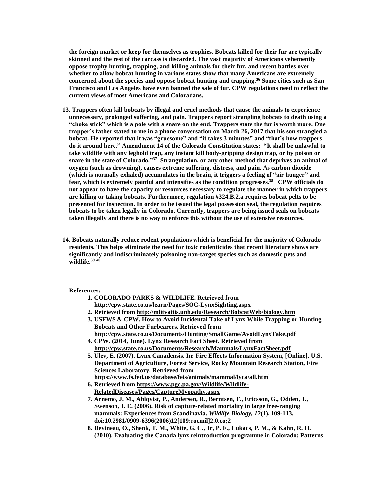**the foreign market or keep for themselves as trophies. Bobcats killed for their fur are typically skinned and the rest of the carcass is discarded. The vast majority of Americans vehemently oppose trophy hunting, trapping, and killing animals for their fur, and recent battles over whether to allow bobcat hunting in various states show that many Americans are extremely concerned about the species and oppose bobcat hunting and trapping. <sup>36</sup> Some cities such as San Francisco and Los Angeles have even banned the sale of fur. CPW regulations need to reflect the current views of most Americans and Coloradans.** 

- **13. Trappers often kill bobcats by illegal and cruel methods that cause the animals to experience unnecessary, prolonged suffering, and pain. Trappers report strangling bobcats to death using a** "choke stick" which is a pole with a snare on the end. Trappers state the fur is worth more. One **trapper's father stated to me in a phone conversation on March 26, 2017 that his son strangled a bobcat. He reported that it was "gruesome" and "it takes 3 minutes" and "that's how trappers do it around here." Amendment 14 of the Colorado Constitution states: "It shall be unlawful to take wildlife with any leghold trap, any instant kill body-gripping design trap, or by poison or snare in the state of Colorado."<sup>37</sup> Strangulation, or any other method that deprives an animal of oxygen (such as drowning), causes extreme suffering, distress, and pain. As carbon dioxide (which is normally exhaled) accumulates in the brain, it triggers a feeling of "air hunger" and fear, which is extremely painful and intensifies as the condition progresses.<sup>38</sup> CPW officials do not appear to have the capacity or resources necessary to regulate the manner in which trappers are killing or taking bobcats. Furthermore, regulation #324.B.2.a requires bobcat pelts to be presented for inspection. In order to be issued the legal possession seal, the regulation requires bobcats to be taken legally in Colorado. Currently, trappers are being issued seals on bobcats taken illegally and there is no way to enforce this without the use of extensive resources.**
- **14. Bobcats naturally reduce rodent populations which is beneficial for the majority of Colorado residents. This helps eliminate the need for toxic rodenticides that recent literature shows are significantly and indiscriminately poisoning non-target species such as domestic pets and wildlife.<sup>39</sup> <sup>40</sup>**

## **References:**

- **1. COLORADO PARKS & WILDLIFE. Retrieved from <http://cpw.state.co.us/learn/Pages/SOC-LynxSighting.aspx>**
- **2. Retrieved from <http://mlitvaitis.unh.edu/Research/BobcatWeb/biology.htm>**
- **3. USFWS & CPW. How to Avoid Incidental Take of Lynx While Trapping or Hunting Bobcats and Other Furbearers. Retrieved from**
- **<http://cpw.state.co.us/Documents/Hunting/SmallGame/AvoidLynxTake.pdf> 4. CPW. (2014, June). Lynx Research Fact Sheet. Retrieved from**
- **<http://cpw.state.co.us/Documents/Research/Mammals/LynxFactSheet.pdf> 5. Ulev, E. (2007). Lynx Canadensis. In: Fire Effects Information System, [Online]. U.S.**
- **Department of Agriculture, Forest Service, Rocky Mountain Research Station, Fire Sciences Laboratory. Retrieved from**
- **<https://www.fs.fed.us/database/feis/animals/mammal/lyca/all.html> 6. Retrieved from [https://www.pgc.pa.gov/Wildlife/Wildlife-](https://www.pgc.pa.gov/Wildlife/Wildlife-RelatedDiseases/Pages/CaptureMyopathy.aspx)**
- **[RelatedDiseases/Pages/CaptureMyopathy.aspx](https://www.pgc.pa.gov/Wildlife/Wildlife-RelatedDiseases/Pages/CaptureMyopathy.aspx)**
- **7. Arnemo, J. M., Ahlqvist, P., Andersen, R., Berntsen, F., Ericsson, G., Odden, J., Swenson, J. E. (2006). Risk of capture-related mortality in large free-ranging mammals: Experiences from Scandinavia.** *Wildlife Biology, 12***(1), 109-113. doi:10.2981/0909-6396(2006)12[109:rocmil]2.0.co;2**
- **8. Devineau, O., Shenk, T. M., White, G. C., Jr, P. F., Lukacs, P. M., & Kahn, R. H. (2010). Evaluating the Canada lynx reintroduction programme in Colorado: Patterns**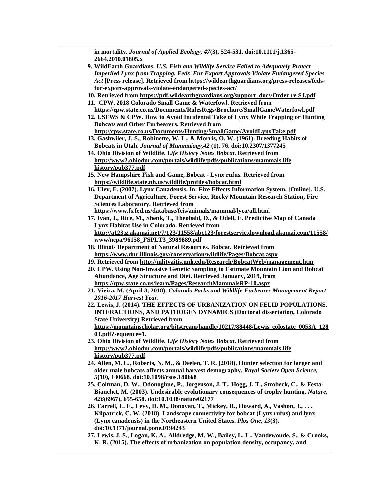| in mortality. Journal of Applied Ecology, 47(3), 524-531. doi:10.1111/j.1365-              |
|--------------------------------------------------------------------------------------------|
| 2664.2010.01805.x                                                                          |
| 9. WildEarth Guardians. U.S. Fish and Wildlife Service Failed to Adequately Protect        |
| <b>Imperiled Lynx from Trapping. Feds' Fur Export Approvals Violate Endangered Species</b> |
| Act [Press release]. Retrieved from https://wildearthguardians.org/press-releases/feds-    |
| fur-export-approvals-violate-endangered-species-act/                                       |
| 10. Retrieved from https://pdf.wildearthguardians.org/support_docs/Order re SJ.pdf         |
| 11. CPW. 2018 Colorado Small Game & Waterfowl. Retrieved from                              |
| https://cpw.state.co.us/Documents/RulesRegs/Brochure/SmallGameWaterfowl.pdf                |
| 12. USFWS & CPW. How to Avoid Incidental Take of Lynx While Trapping or Hunting            |
| <b>Bobcats and Other Furbearers. Retrieved from</b>                                        |
| http://cpw.state.co.us/Documents/Hunting/SmallGame/AvoidLynxTake.pdf                       |
| 13. Gashwiler, J. S., Robinette, W. L., & Morris, O. W. (1961). Breeding Habits of         |
| Bobcats in Utah. Journal of Mammalogy, 42 (1), 76. doi:10.2307/1377245                     |
| 14. Ohio Division of Wildlife. Life History Notes Bobcat. Retrieved from                   |
|                                                                                            |
| http://www2.ohiodnr.com/portals/wildlife/pdfs/publications/mammals life                    |
| history/pub377.pdf                                                                         |
| 15. New Hampshire Fish and Game, Bobcat - Lynx rufus. Retrieved from                       |
| https://wildlife.state.nh.us/wildlife/profiles/bobcat.html                                 |
| 16. Ulev, E. (2007). Lynx Canadensis. In: Fire Effects Information System, [Online]. U.S.  |
| Department of Agriculture, Forest Service, Rocky Mountain Research Station, Fire           |
| <b>Sciences Laboratory. Retrieved from</b>                                                 |
| https://www.fs.fed.us/database/feis/animals/mammal/lyca/all.html                           |
| 17. Ivan, J., Rice, M., Shenk, T., Theobald, D., & Odell, E. Predictive Map of Canada      |
| Lynx Habitat Use in Colorado. Retrieved from                                               |
| http://a123.g.akamai.net/7/123/11558/abc123/forestservic.download.akamai.com/11558/        |
| www/nepa/96158_FSPLT3_3989889.pdf                                                          |
| 18. Illinois Department of Natural Resources. Bobcat. Retrieved from                       |
| https://www.dnr.illinois.gov/conservation/wildlife/Pages/Bobcat.aspx                       |
| 19. Retrieved from http://mlitvaitis.unh.edu/Research/BobcatWeb/management.htm             |
| 20. CPW. Using Non-Invasive Genetic Sampling to Estimate Mountain Lion and Bobcat          |
| Abundance, Age Structure and Diet. Retrieved January, 2019, from                           |
| https://cpw.state.co.us/learn/Pages/ResearchMammalsRP-10.aspx                              |
| 21. Vieira, M. (April 3, 2018). Colorado Parks and Wildlife Furbearer Management Report    |
| 2016-2017 Harvest Year.                                                                    |
| 22. Lewis, J. (2014). THE EFFECTS OF URBANIZATION ON FELID POPULATIONS,                    |
| <b>INTERACTIONS, AND PATHOGEN DYNAMICS (Doctoral dissertation, Colorado</b>                |
| <b>State University) Retrieved from</b>                                                    |
| https://mountainscholar.org/bitstream/handle/10217/88448/Lewis_colostate_0053A_128         |
| 03.pdf?sequence=1.                                                                         |
| 23. Ohio Division of Wildlife. Life History Notes Bobcat. Retrieved from                   |
| http://www2.ohiodnr.com/portals/wildlife/pdfs/publications/mammals life                    |
| history/pub377.pdf                                                                         |
| 24. Allen, M. L., Roberts, N. M., & Deelen, T. R. (2018). Hunter selection for larger and  |
| older male bobcats affects annual harvest demography. Royal Society Open Science,          |
| 5(10), 180668. doi:10.1098/rsos.180668                                                     |
| 25. Coltman, D. W., Odonoghue, P., Jorgenson, J. T., Hogg, J. T., Strobeck, C., & Festa-   |
| Bianchet, M. (2003). Undesirable evolutionary consequences of trophy hunting. Nature,      |
| 426(6967), 655-658. doi:10.1038/nature02177                                                |
| 26. Farrell, L. E., Levy, D. M., Donovan, T., Mickey, R., Howard, A., Vashon, J.,          |
| Kilpatrick, C. W. (2018). Landscape connectivity for bobcat (Lynx rufus) and lynx          |
| (Lynx canadensis) in the Northeastern United States. Plos One, 13(3).                      |
| doi:10.1371/journal.pone.0194243                                                           |
| 27. Lewis, J. S., Logan, K. A., Alldredge, M. W., Bailey, L. L., Vandewoude, S., & Crooks, |
| K. R. (2015). The effects of urbanization on population density, occupancy, and            |
|                                                                                            |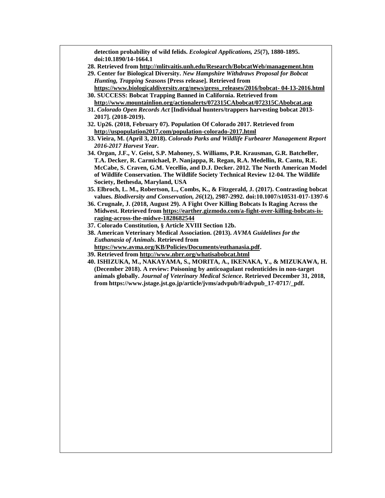**detection probability of wild felids.** *Ecological Applications, 25***(7), 1880-1895. doi:10.1890/14-1664.1**

- **28. Retrieved from <http://mlitvaitis.unh.edu/Research/BobcatWeb/management.htm>**
- **29. Center for Biological Diversity.** *New Hampshire Withdraws Proposal for Bobcat Hunting, Trapping Seasons* **[Press release]. Retrieved from**
- **[https://www.biologicaldiversity.org/news/press\\_releases/2016/bobcat-](https://www.biologicaldiversity.org/news/press_releases/2016/bobcat-%2004-13-2016.html) 04-13-2016.html 30. SUCCESS: Bobcat Trapping Banned in California. Retrieved from**
- **<http://www.mountainlion.org/actionalerts/072315CAbobcat/072315CAbobcat.asp>**
- **31.** *Colorado Open Records Act* **[Individual hunters/trappers harvesting bobcat 2013- 2017]. (2018-2019).**
- **32. Up26. (2018, February 07). Population Of Colorado 2017. Retrieved from <http://uspopulation2017.com/population-colorado-2017.html>**
- **33. Vieira, M. (April 3, 2018).** *Colorado Parks and Wildlife Furbearer Management Report 2016-2017 Harvest Year***.**
- **34. Organ, J.F., V. Geist, S.P. Mahoney, S. Williams, P.R. Krausman, G.R. Batcheller, T.A. Decker, R. Carmichael, P. Nanjappa, R. Regan, R.A. Medellin, R. Cantu, R.E. McCabe, S. Craven, G.M. Vecellio, and D.J. Decker. 2012. The North American Model of Wildlife Conservation. The Wildlife Society Technical Review 12-04. The Wildlife Society, Bethesda, Maryland, USA**
- **35. Elbroch, L. M., Robertson, L., Combs, K., & Fitzgerald, J. (2017). Contrasting bobcat values.** *Biodiversity and Conservation, 26***(12), 2987-2992. doi:10.1007/s10531-017-1397-6**
- **36. Crugnale, J. (2018, August 29). A Fight Over Killing Bobcats Is Raging Across the Midwest. Retrieved from [https://earther.gizmodo.com/a-fight-over-killing-bobcats-is](https://earther.gizmodo.com/a-fight-over-killing-bobcats-is-raging-across-the-midwe-1828682544)[raging-across-the-midwe-1828682544](https://earther.gizmodo.com/a-fight-over-killing-bobcats-is-raging-across-the-midwe-1828682544)**
- **37. Colorado Constitution, § Article XVIII Section 12b.**
- **38. American Veterinary Medical Association. (2013).** *AVMA Guidelines for the Euthanasia of Animals***. Retrieved from**
- **[https://www.avma.org/KB/Policies/Documents/euthanasia.pdf.](https://www.avma.org/KB/Policies/Documents/euthanasia.pdf)**
- **39. Retrieved from <http://www.nbrr.org/whatisabobcat.html>**
- **40. ISHIZUKA, M., NAKAYAMA, S., MORITA, A., IKENAKA, Y., & MIZUKAWA, H. (December 2018). A review: Poisoning by anticoagulant rodenticides in non-target animals globally.** *Journal of Veterinary Medical Science***. Retrieved December 31, 2018, from https://www.jstage.jst.go.jp/article/jvms/advpub/0/advpub\_17-0717/\_pdf.**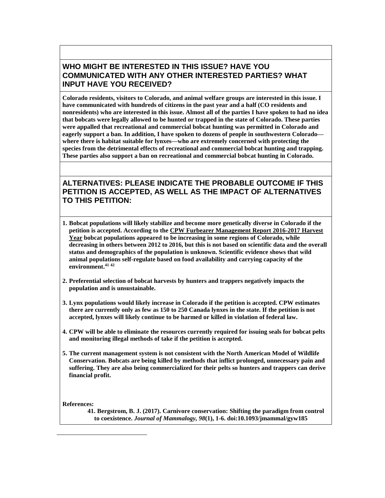## **WHO MIGHT BE INTERESTED IN THIS ISSUE? HAVE YOU COMMUNICATED WITH ANY OTHER INTERESTED PARTIES? WHAT INPUT HAVE YOU RECEIVED?**

**Colorado residents, visitors to Colorado, and animal welfare groups are interested in this issue. I have communicated with hundreds of citizens in the past year and a half (CO residents and** nonresidents) who are interested in this issue. Almost all of the parties I have spoken to had no idea **that bobcats were legally allowed to be hunted or trapped in the state of Colorado. These parties were appalled that recreational and commercial bobcat hunting was permitted in Colorado and eagerly support a ban. In addition, I have spoken to dozens of people in southwestern Colorado where there is habitat suitable for lynxes—who are extremely concerned with protecting the species from the detrimental effects of recreational and commercial bobcat hunting and trapping. These parties also support a ban on recreational and commercial bobcat hunting in Colorado.**

## **ALTERNATIVES: PLEASE INDICATE THE PROBABLE OUTCOME IF THIS PETITION IS ACCEPTED, AS WELL AS THE IMPACT OF ALTERNATIVES TO THIS PETITION:**

- **1. Bobcat populations will likely stabilize and become more genetically diverse in Colorado if the petition is accepted. According to the CPW Furbearer [Management](http://cpw.state.co.us/Documents/Hunting/SmallGame/Statistics/2016-2017_Furbearer_Report.pdf) Report 2016-2017 Harvest [Year](http://cpw.state.co.us/Documents/Hunting/SmallGame/Statistics/2016-2017_Furbearer_Report.pdf) bobcat populations appeared to be increasing in some regions of Colorado, while** decreasing in others between 2012 to 2016, but this is not based on scientific data and the overall **status and demographics of the population is unknown. Scientific evidence shows that wild animal populations self-regulate based on food availability and carrying capacity of the environment. 41 42**
- **2. Preferential selection of bobcat harvests by hunters and trappers negatively impacts the population and is unsustainable.**
- **3. Lynx populations would likely increase in Colorado if the petition is accepted. CPW estimates** there are currently only as few as 150 to 250 Canada lynxes in the state. If the petition is not **accepted, lynxes will likely continue to be harmed or killed in violation of federal law.**
- **4. CPW will be able to eliminate the resources currently required for issuing seals for bobcat pelts and monitoring illegal methods of take if the petition is accepted.**
- **5. The current management system is not consistent with the North American Model of Wildlife Conservation. Bobcats are being killed by methods that inflict prolonged, unnecessary pain and suffering. They are also being commercialized for their pelts so hunters and trappers can derive financial profit.**

**References:**

 $\overline{a}$ 

**41. Bergstrom, B. J. (2017). Carnivore conservation: Shifting the paradigm from control to coexistence.** *Journal of Mammalogy, 98***(1), 1-6. doi:10.1093/jmammal/gyw185**